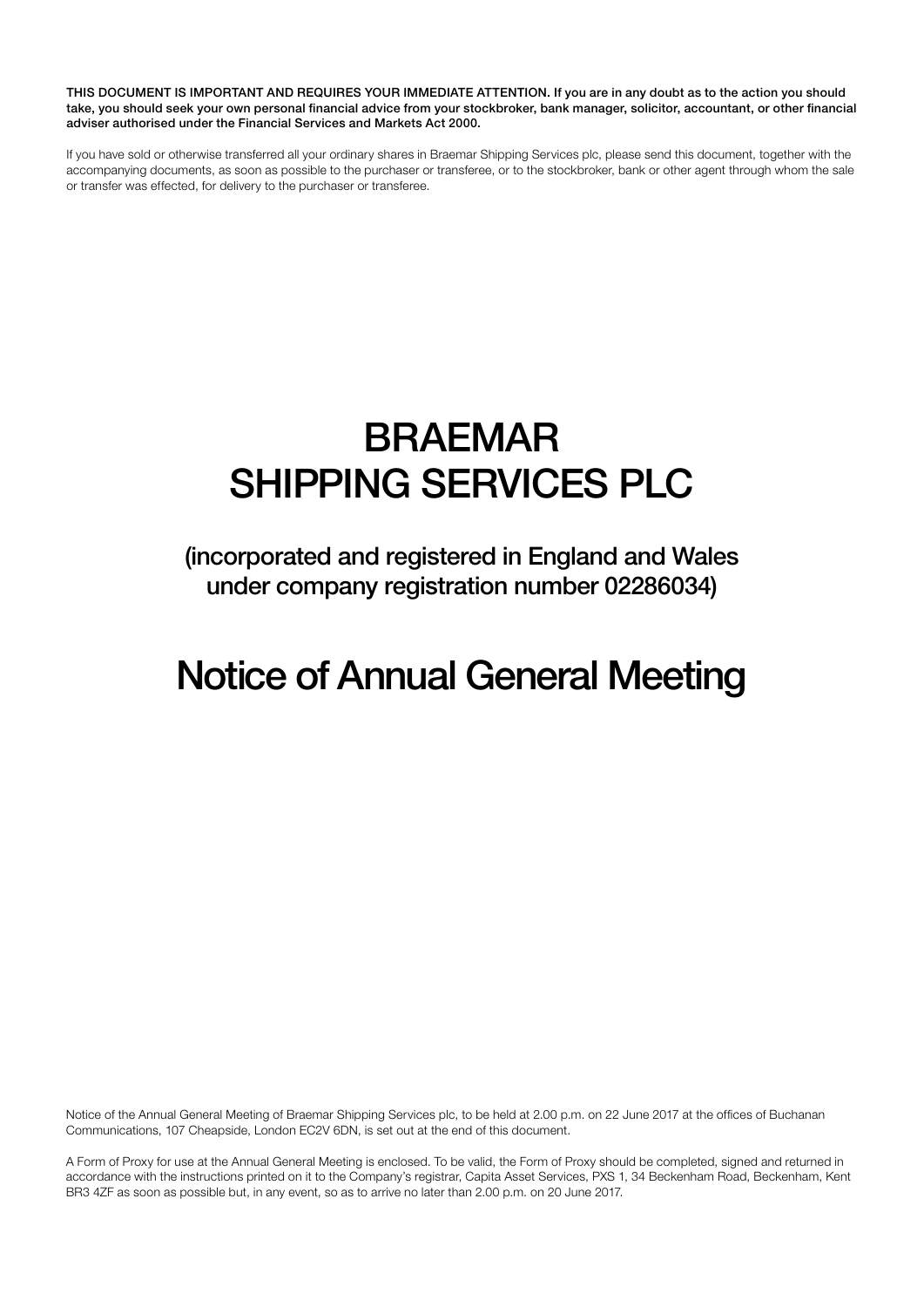THIS DOCUMENT IS IMPORTANT AND REQUIRES YOUR IMMEDIATE ATTENTION. If you are in any doubt as to the action you should take, you should seek your own personal financial advice from your stockbroker, bank manager, solicitor, accountant, or other financial adviser authorised under the Financial Services and Markets Act 2000.

If you have sold or otherwise transferred all your ordinary shares in Braemar Shipping Services plc, please send this document, together with the accompanying documents, as soon as possible to the purchaser or transferee, or to the stockbroker, bank or other agent through whom the sale or transfer was effected, for delivery to the purchaser or transferee.

# BRAEMAR SHIPPING SERVICES PLC

(incorporated and registered in England and Wales under company registration number 02286034)

# Notice of Annual General Meeting

Notice of the Annual General Meeting of Braemar Shipping Services plc, to be held at 2.00 p.m. on 22 June 2017 at the offices of Buchanan Communications, 107 Cheapside, London EC2V 6DN, is set out at the end of this document.

A Form of Proxy for use at the Annual General Meeting is enclosed. To be valid, the Form of Proxy should be completed, signed and returned in accordance with the instructions printed on it to the Company's registrar, Capita Asset Services, PXS 1, 34 Beckenham Road, Beckenham, Kent BR3 4ZF as soon as possible but, in any event, so as to arrive no later than 2.00 p.m. on 20 June 2017.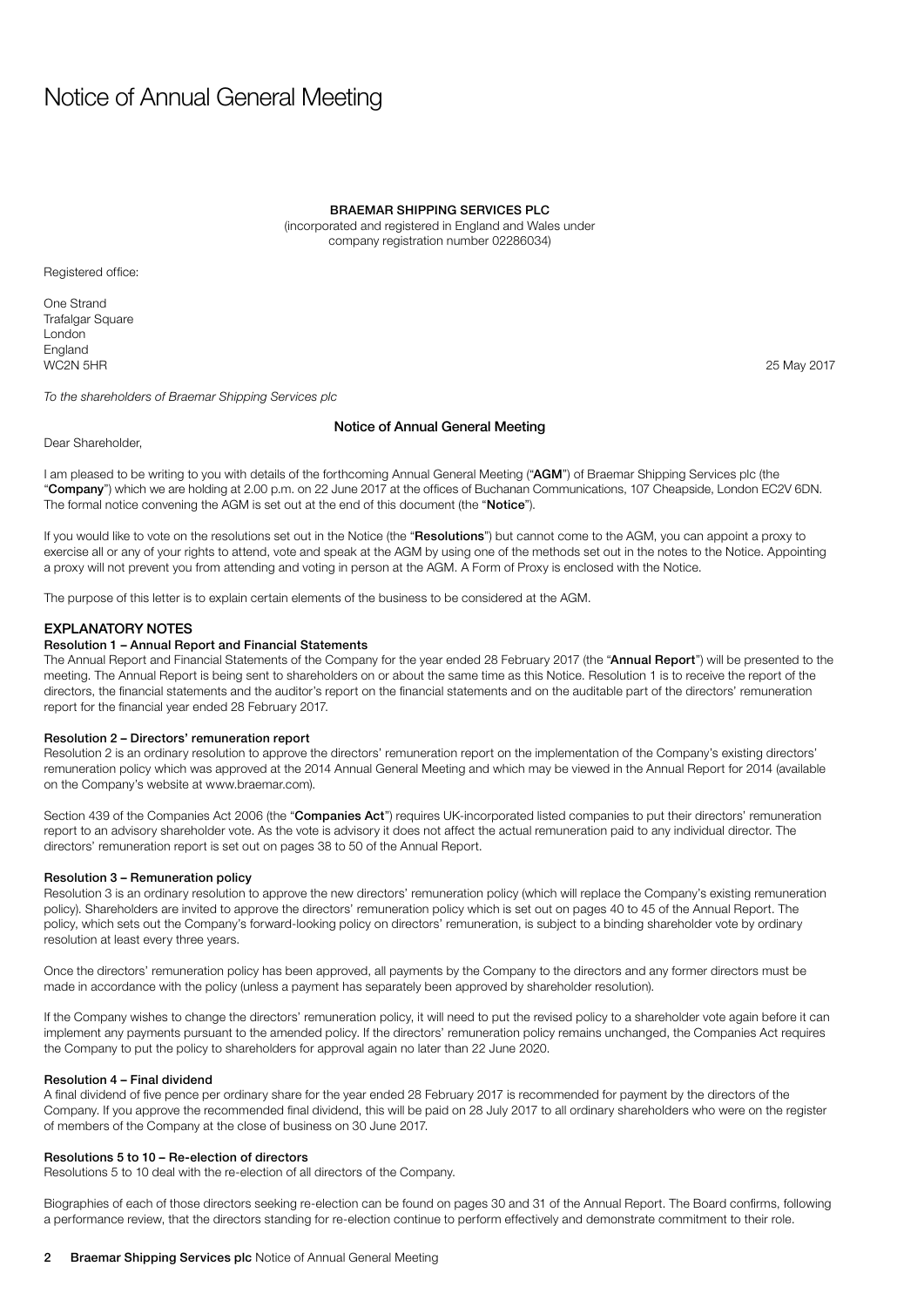# Notice of Annual General Meeting

#### BRAEMAR SHIPPING SERVICES PLC

(incorporated and registered in England and Wales under company registration number 02286034)

Registered office:

One Strand Trafalgar Square London England<br>WC2N 5HR WC2N 5HR 25 May 2017

*To the shareholders of Braemar Shipping Services plc*

### Notice of Annual General Meeting

Dear Shareholder,

I am pleased to be writing to you with details of the forthcoming Annual General Meeting ("AGM") of Braemar Shipping Services plc (the "Company") which we are holding at 2.00 p.m. on 22 June 2017 at the offices of Buchanan Communications, 107 Cheapside, London EC2V 6DN. The formal notice convening the AGM is set out at the end of this document (the "Notice").

If you would like to vote on the resolutions set out in the Notice (the "Resolutions") but cannot come to the AGM, you can appoint a proxy to exercise all or any of your rights to attend, vote and speak at the AGM by using one of the methods set out in the notes to the Notice. Appointing a proxy will not prevent you from attending and voting in person at the AGM. A Form of Proxy is enclosed with the Notice.

The purpose of this letter is to explain certain elements of the business to be considered at the AGM.

### EXPLANATORY NOTES

### Resolution 1 – Annual Report and Financial Statements

The Annual Report and Financial Statements of the Company for the year ended 28 February 2017 (the "Annual Report") will be presented to the meeting. The Annual Report is being sent to shareholders on or about the same time as this Notice. Resolution 1 is to receive the report of the directors, the financial statements and the auditor's report on the financial statements and on the auditable part of the directors' remuneration report for the financial year ended 28 February 2017.

### Resolution 2 – Directors' remuneration report

Resolution 2 is an ordinary resolution to approve the directors' remuneration report on the implementation of the Company's existing directors' remuneration policy which was approved at the 2014 Annual General Meeting and which may be viewed in the Annual Report for 2014 (available on the Company's website at www.braemar.com).

Section 439 of the Companies Act 2006 (the "Companies Act") requires UK-incorporated listed companies to put their directors' remuneration report to an advisory shareholder vote. As the vote is advisory it does not affect the actual remuneration paid to any individual director. The directors' remuneration report is set out on pages 38 to 50 of the Annual Report.

## Resolution 3 – Remuneration policy

Resolution 3 is an ordinary resolution to approve the new directors' remuneration policy (which will replace the Company's existing remuneration policy). Shareholders are invited to approve the directors' remuneration policy which is set out on pages 40 to 45 of the Annual Report. The policy, which sets out the Company's forward-looking policy on directors' remuneration, is subject to a binding shareholder vote by ordinary resolution at least every three years.

Once the directors' remuneration policy has been approved, all payments by the Company to the directors and any former directors must be made in accordance with the policy (unless a payment has separately been approved by shareholder resolution).

If the Company wishes to change the directors' remuneration policy, it will need to put the revised policy to a shareholder vote again before it can implement any payments pursuant to the amended policy. If the directors' remuneration policy remains unchanged, the Companies Act requires the Company to put the policy to shareholders for approval again no later than 22 June 2020.

#### Resolution 4 – Final dividend

A final dividend of five pence per ordinary share for the year ended 28 February 2017 is recommended for payment by the directors of the Company. If you approve the recommended final dividend, this will be paid on 28 July 2017 to all ordinary shareholders who were on the register of members of the Company at the close of business on 30 June 2017.

#### Resolutions 5 to 10 – Re-election of directors

Resolutions 5 to 10 deal with the re-election of all directors of the Company.

Biographies of each of those directors seeking re-election can be found on pages 30 and 31 of the Annual Report. The Board confirms, following a performance review, that the directors standing for re-election continue to perform effectively and demonstrate commitment to their role.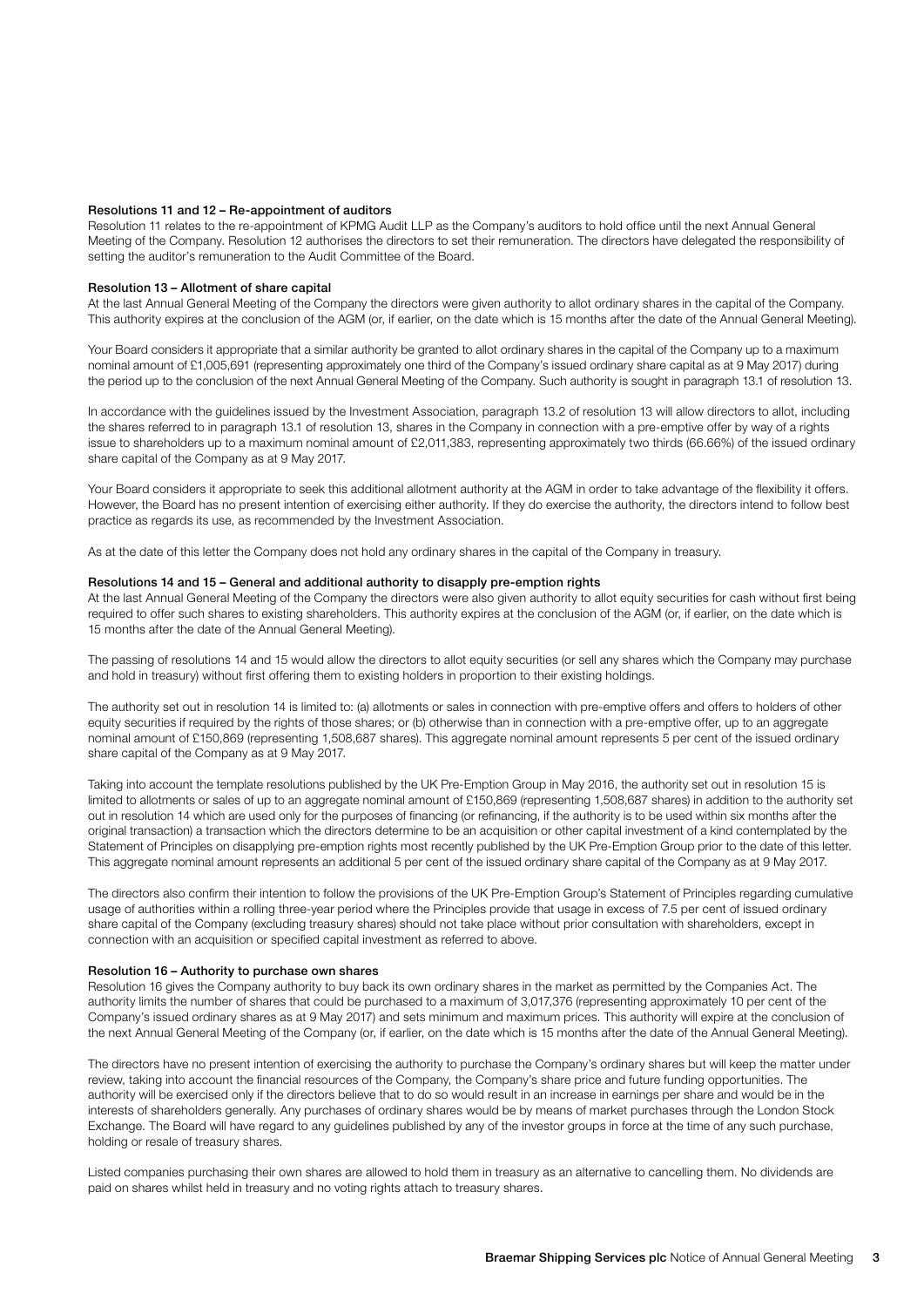#### Resolutions 11 and 12 – Re-appointment of auditors

Resolution 11 relates to the re-appointment of KPMG Audit LLP as the Company's auditors to hold office until the next Annual General Meeting of the Company. Resolution 12 authorises the directors to set their remuneration. The directors have delegated the responsibility of setting the auditor's remuneration to the Audit Committee of the Board.

#### Resolution 13 – Allotment of share capital

At the last Annual General Meeting of the Company the directors were given authority to allot ordinary shares in the capital of the Company. This authority expires at the conclusion of the AGM (or, if earlier, on the date which is 15 months after the date of the Annual General Meeting).

Your Board considers it appropriate that a similar authority be granted to allot ordinary shares in the capital of the Company up to a maximum nominal amount of £1,005,691 (representing approximately one third of the Company's issued ordinary share capital as at 9 May 2017) during the period up to the conclusion of the next Annual General Meeting of the Company. Such authority is sought in paragraph 13.1 of resolution 13.

In accordance with the guidelines issued by the Investment Association, paragraph 13.2 of resolution 13 will allow directors to allot, including the shares referred to in paragraph 13.1 of resolution 13, shares in the Company in connection with a pre-emptive offer by way of a rights issue to shareholders up to a maximum nominal amount of £2,011,383, representing approximately two thirds (66.66%) of the issued ordinary share capital of the Company as at 9 May 2017.

Your Board considers it appropriate to seek this additional allotment authority at the AGM in order to take advantage of the flexibility it offers. However, the Board has no present intention of exercising either authority. If they do exercise the authority, the directors intend to follow best practice as regards its use, as recommended by the Investment Association.

As at the date of this letter the Company does not hold any ordinary shares in the capital of the Company in treasury.

#### Resolutions 14 and 15 – General and additional authority to disapply pre-emption rights

At the last Annual General Meeting of the Company the directors were also given authority to allot equity securities for cash without first being required to offer such shares to existing shareholders. This authority expires at the conclusion of the AGM (or, if earlier, on the date which is 15 months after the date of the Annual General Meeting).

The passing of resolutions 14 and 15 would allow the directors to allot equity securities (or sell any shares which the Company may purchase and hold in treasury) without first offering them to existing holders in proportion to their existing holdings.

The authority set out in resolution 14 is limited to: (a) allotments or sales in connection with pre-emptive offers and offers to holders of other equity securities if required by the rights of those shares; or (b) otherwise than in connection with a pre-emptive offer, up to an aggregate nominal amount of £150,869 (representing 1,508,687 shares). This aggregate nominal amount represents 5 per cent of the issued ordinary share capital of the Company as at 9 May 2017.

Taking into account the template resolutions published by the UK Pre-Emption Group in May 2016, the authority set out in resolution 15 is limited to allotments or sales of up to an aggregate nominal amount of £150,869 (representing 1,508,687 shares) in addition to the authority set out in resolution 14 which are used only for the purposes of financing (or refinancing, if the authority is to be used within six months after the original transaction) a transaction which the directors determine to be an acquisition or other capital investment of a kind contemplated by the Statement of Principles on disapplying pre-emption rights most recently published by the UK Pre-Emption Group prior to the date of this letter. This aggregate nominal amount represents an additional 5 per cent of the issued ordinary share capital of the Company as at 9 May 2017.

The directors also confirm their intention to follow the provisions of the UK Pre-Emption Group's Statement of Principles regarding cumulative usage of authorities within a rolling three-year period where the Principles provide that usage in excess of 7.5 per cent of issued ordinary share capital of the Company (excluding treasury shares) should not take place without prior consultation with shareholders, except in connection with an acquisition or specified capital investment as referred to above.

#### Resolution 16 – Authority to purchase own shares

Resolution 16 gives the Company authority to buy back its own ordinary shares in the market as permitted by the Companies Act. The authority limits the number of shares that could be purchased to a maximum of 3,017,376 (representing approximately 10 per cent of the Company's issued ordinary shares as at 9 May 2017) and sets minimum and maximum prices. This authority will expire at the conclusion of the next Annual General Meeting of the Company (or, if earlier, on the date which is 15 months after the date of the Annual General Meeting).

The directors have no present intention of exercising the authority to purchase the Company's ordinary shares but will keep the matter under review, taking into account the financial resources of the Company, the Company's share price and future funding opportunities. The authority will be exercised only if the directors believe that to do so would result in an increase in earnings per share and would be in the interests of shareholders generally. Any purchases of ordinary shares would be by means of market purchases through the London Stock Exchange. The Board will have regard to any guidelines published by any of the investor groups in force at the time of any such purchase, holding or resale of treasury shares.

Listed companies purchasing their own shares are allowed to hold them in treasury as an alternative to cancelling them. No dividends are paid on shares whilst held in treasury and no voting rights attach to treasury shares.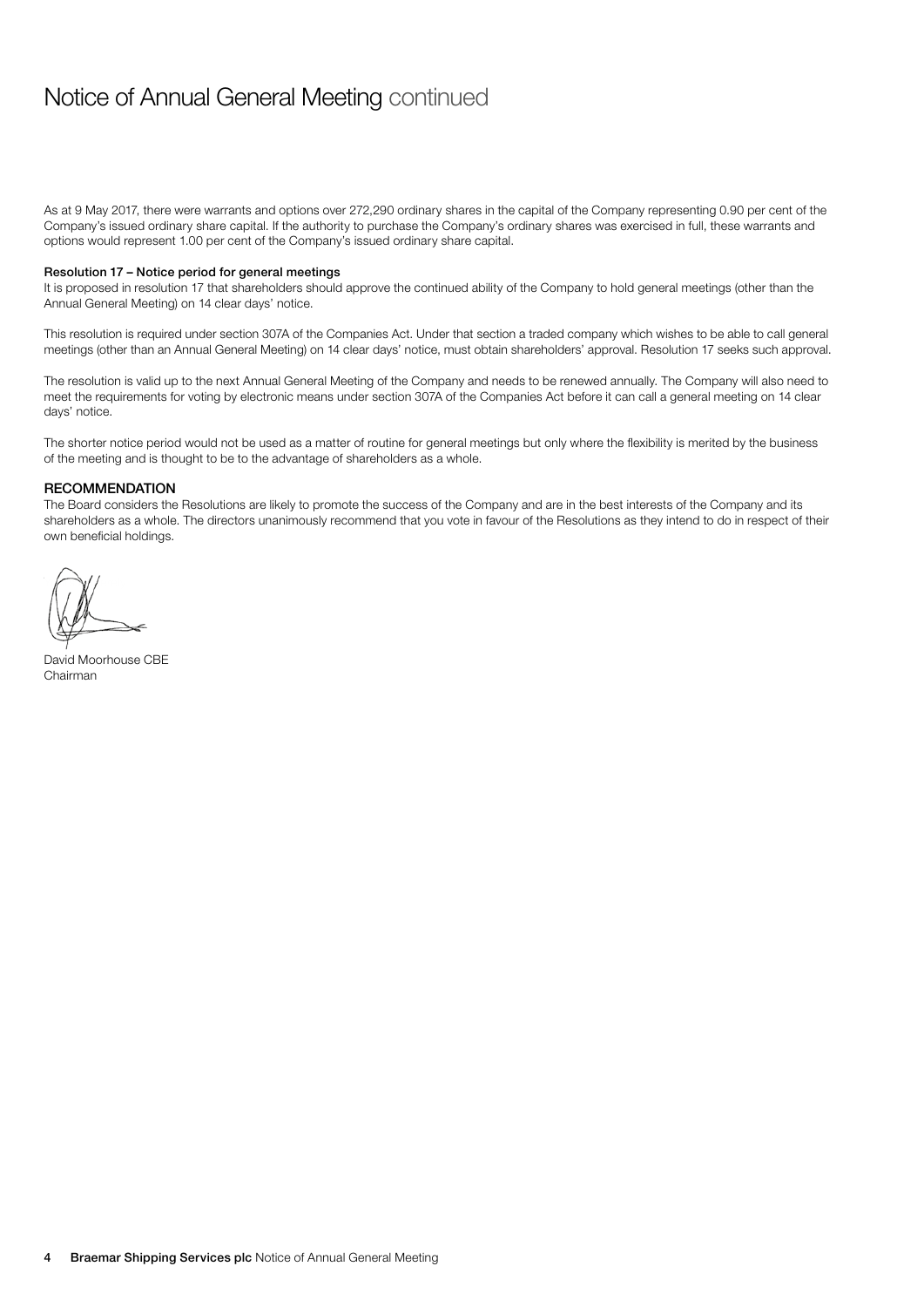# Notice of Annual General Meeting continued

As at 9 May 2017, there were warrants and options over 272,290 ordinary shares in the capital of the Company representing 0.90 per cent of the Company's issued ordinary share capital. If the authority to purchase the Company's ordinary shares was exercised in full, these warrants and options would represent 1.00 per cent of the Company's issued ordinary share capital.

#### Resolution 17 – Notice period for general meetings

It is proposed in resolution 17 that shareholders should approve the continued ability of the Company to hold general meetings (other than the Annual General Meeting) on 14 clear days' notice.

This resolution is required under section 307A of the Companies Act. Under that section a traded company which wishes to be able to call general meetings (other than an Annual General Meeting) on 14 clear days' notice, must obtain shareholders' approval. Resolution 17 seeks such approval.

The resolution is valid up to the next Annual General Meeting of the Company and needs to be renewed annually. The Company will also need to meet the requirements for voting by electronic means under section 307A of the Companies Act before it can call a general meeting on 14 clear days' notice.

The shorter notice period would not be used as a matter of routine for general meetings but only where the flexibility is merited by the business of the meeting and is thought to be to the advantage of shareholders as a whole.

#### **RECOMMENDATION**

The Board considers the Resolutions are likely to promote the success of the Company and are in the best interests of the Company and its shareholders as a whole. The directors unanimously recommend that you vote in favour of the Resolutions as they intend to do in respect of their own beneficial holdings.

 $\bigcap$ 

David Moorhouse CBE Chairman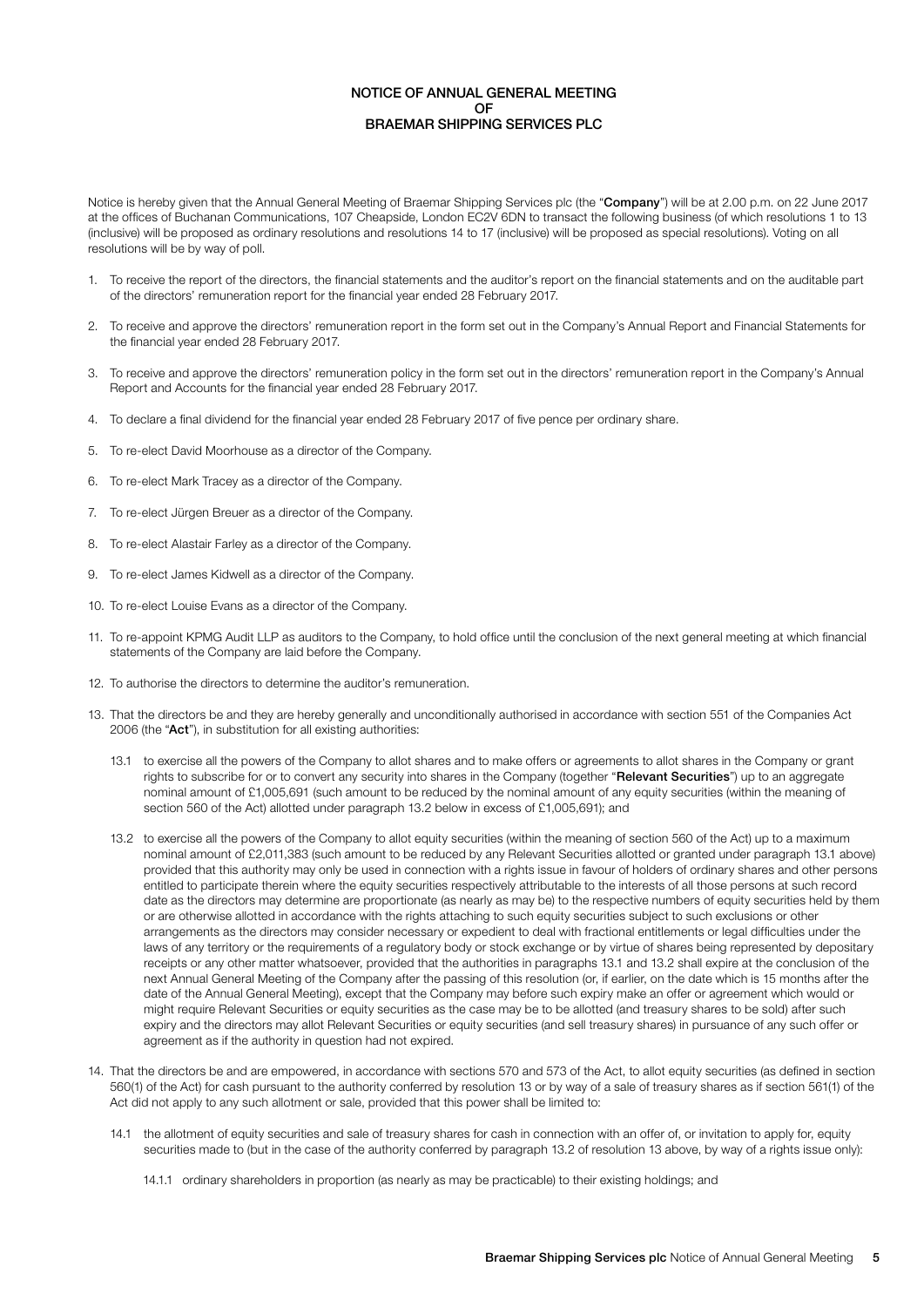### NOTICE OF ANNUAL GENERAL MEETING OF BRAEMAR SHIPPING SERVICES PLC

Notice is hereby given that the Annual General Meeting of Braemar Shipping Services plc (the "Company") will be at 2.00 p.m. on 22 June 2017 at the offices of Buchanan Communications, 107 Cheapside, London EC2V 6DN to transact the following business (of which resolutions 1 to 13 (inclusive) will be proposed as ordinary resolutions and resolutions 14 to 17 (inclusive) will be proposed as special resolutions). Voting on all resolutions will be by way of poll.

- 1. To receive the report of the directors, the financial statements and the auditor's report on the financial statements and on the auditable part of the directors' remuneration report for the financial year ended 28 February 2017.
- 2. To receive and approve the directors' remuneration report in the form set out in the Company's Annual Report and Financial Statements for the financial year ended 28 February 2017.
- 3. To receive and approve the directors' remuneration policy in the form set out in the directors' remuneration report in the Company's Annual Report and Accounts for the financial year ended 28 February 2017.
- 4. To declare a final dividend for the financial year ended 28 February 2017 of five pence per ordinary share.
- 5. To re-elect David Moorhouse as a director of the Company.
- 6. To re-elect Mark Tracey as a director of the Company.
- 7. To re-elect Jürgen Breuer as a director of the Company.
- 8. To re-elect Alastair Farley as a director of the Company.
- 9. To re-elect James Kidwell as a director of the Company.
- 10. To re-elect Louise Evans as a director of the Company.
- 11. To re-appoint KPMG Audit LLP as auditors to the Company, to hold office until the conclusion of the next general meeting at which financial statements of the Company are laid before the Company.
- 12. To authorise the directors to determine the auditor's remuneration.
- 13. That the directors be and they are hereby generally and unconditionally authorised in accordance with section 551 of the Companies Act 2006 (the "Act"), in substitution for all existing authorities:
	- 13.1 to exercise all the powers of the Company to allot shares and to make offers or agreements to allot shares in the Company or grant rights to subscribe for or to convert any security into shares in the Company (together "Relevant Securities") up to an aggregate nominal amount of £1,005,691 (such amount to be reduced by the nominal amount of any equity securities (within the meaning of section 560 of the Act) allotted under paragraph 13.2 below in excess of £1,005,691); and
	- 13.2 to exercise all the powers of the Company to allot equity securities (within the meaning of section 560 of the Act) up to a maximum nominal amount of £2,011,383 (such amount to be reduced by any Relevant Securities allotted or granted under paragraph 13.1 above) provided that this authority may only be used in connection with a rights issue in favour of holders of ordinary shares and other persons entitled to participate therein where the equity securities respectively attributable to the interests of all those persons at such record date as the directors may determine are proportionate (as nearly as may be) to the respective numbers of equity securities held by them or are otherwise allotted in accordance with the rights attaching to such equity securities subject to such exclusions or other arrangements as the directors may consider necessary or expedient to deal with fractional entitlements or legal difficulties under the laws of any territory or the requirements of a regulatory body or stock exchange or by virtue of shares being represented by depositary receipts or any other matter whatsoever, provided that the authorities in paragraphs 13.1 and 13.2 shall expire at the conclusion of the next Annual General Meeting of the Company after the passing of this resolution (or, if earlier, on the date which is 15 months after the date of the Annual General Meeting), except that the Company may before such expiry make an offer or agreement which would or might require Relevant Securities or equity securities as the case may be to be allotted (and treasury shares to be sold) after such expiry and the directors may allot Relevant Securities or equity securities (and sell treasury shares) in pursuance of any such offer or agreement as if the authority in question had not expired.
- 14. That the directors be and are empowered, in accordance with sections 570 and 573 of the Act, to allot equity securities (as defined in section 560(1) of the Act) for cash pursuant to the authority conferred by resolution 13 or by way of a sale of treasury shares as if section 561(1) of the Act did not apply to any such allotment or sale, provided that this power shall be limited to:
	- 14.1 the allotment of equity securities and sale of treasury shares for cash in connection with an offer of, or invitation to apply for, equity securities made to (but in the case of the authority conferred by paragraph 13.2 of resolution 13 above, by way of a rights issue only):
		- 14.1.1 ordinary shareholders in proportion (as nearly as may be practicable) to their existing holdings; and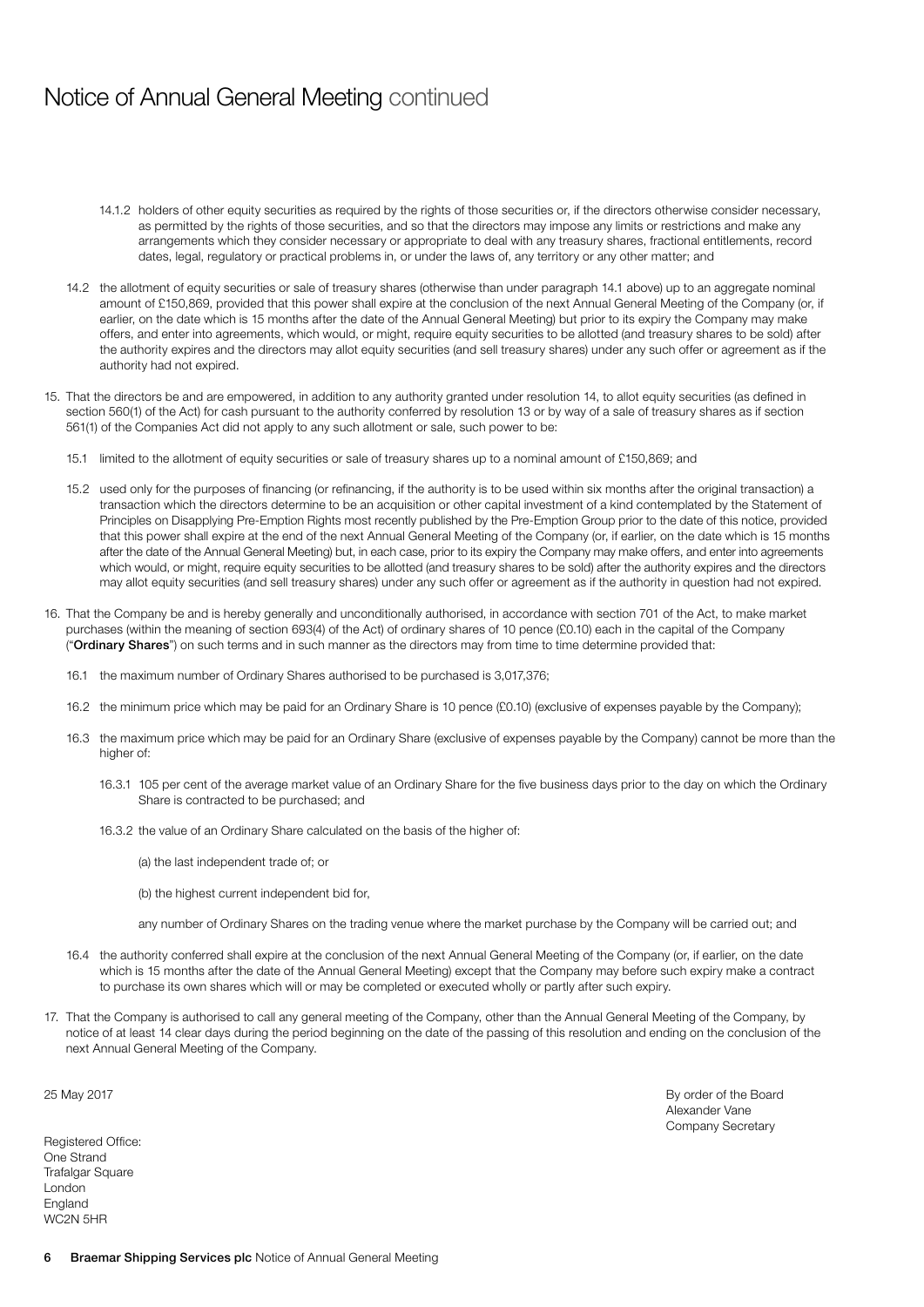# Notice of Annual General Meeting continued

- 14.1.2 holders of other equity securities as required by the rights of those securities or, if the directors otherwise consider necessary. as permitted by the rights of those securities, and so that the directors may impose any limits or restrictions and make any arrangements which they consider necessary or appropriate to deal with any treasury shares, fractional entitlements, record dates, legal, regulatory or practical problems in, or under the laws of, any territory or any other matter; and
- 14.2 the allotment of equity securities or sale of treasury shares (otherwise than under paragraph 14.1 above) up to an aggregate nominal amount of £150,869, provided that this power shall expire at the conclusion of the next Annual General Meeting of the Company (or, if earlier, on the date which is 15 months after the date of the Annual General Meeting) but prior to its expiry the Company may make offers, and enter into agreements, which would, or might, require equity securities to be allotted (and treasury shares to be sold) after the authority expires and the directors may allot equity securities (and sell treasury shares) under any such offer or agreement as if the authority had not expired.
- 15. That the directors be and are empowered, in addition to any authority granted under resolution 14, to allot equity securities (as defined in section 560(1) of the Act) for cash pursuant to the authority conferred by resolution 13 or by way of a sale of treasury shares as if section 561(1) of the Companies Act did not apply to any such allotment or sale, such power to be:
	- 15.1 limited to the allotment of equity securities or sale of treasury shares up to a nominal amount of £150,869; and
	- 15.2 used only for the purposes of financing (or refinancing, if the authority is to be used within six months after the original transaction) a transaction which the directors determine to be an acquisition or other capital investment of a kind contemplated by the Statement of Principles on Disapplying Pre-Emption Rights most recently published by the Pre-Emption Group prior to the date of this notice, provided that this power shall expire at the end of the next Annual General Meeting of the Company (or, if earlier, on the date which is 15 months after the date of the Annual General Meeting) but, in each case, prior to its expiry the Company may make offers, and enter into agreements which would, or might, require equity securities to be allotted (and treasury shares to be sold) after the authority expires and the directors may allot equity securities (and sell treasury shares) under any such offer or agreement as if the authority in question had not expired.
- 16. That the Company be and is hereby generally and unconditionally authorised, in accordance with section 701 of the Act, to make market purchases (within the meaning of section 693(4) of the Act) of ordinary shares of 10 pence (£0.10) each in the capital of the Company ("Ordinary Shares") on such terms and in such manner as the directors may from time to time determine provided that:
	- 16.1 the maximum number of Ordinary Shares authorised to be purchased is 3,017,376;
	- 16.2 the minimum price which may be paid for an Ordinary Share is 10 pence (£0.10) (exclusive of expenses payable by the Company);
	- 16.3 the maximum price which may be paid for an Ordinary Share (exclusive of expenses payable by the Company) cannot be more than the higher of:
		- 16.3.1 105 per cent of the average market value of an Ordinary Share for the five business days prior to the day on which the Ordinary Share is contracted to be purchased; and
		- 16.3.2 the value of an Ordinary Share calculated on the basis of the higher of:
			- (a) the last independent trade of; or
			- (b) the highest current independent bid for,
			- any number of Ordinary Shares on the trading venue where the market purchase by the Company will be carried out; and
	- 16.4 the authority conferred shall expire at the conclusion of the next Annual General Meeting of the Company (or, if earlier, on the date which is 15 months after the date of the Annual General Meeting) except that the Company may before such expiry make a contract to purchase its own shares which will or may be completed or executed wholly or partly after such expiry.
- 17. That the Company is authorised to call any general meeting of the Company, other than the Annual General Meeting of the Company, by notice of at least 14 clear days during the period beginning on the date of the passing of this resolution and ending on the conclusion of the next Annual General Meeting of the Company.

Registered Office: One Strand **Trafalgar Square** London England WC2N 5HR

25 May 2017 By order of the Board Alexander Vane Company Secretary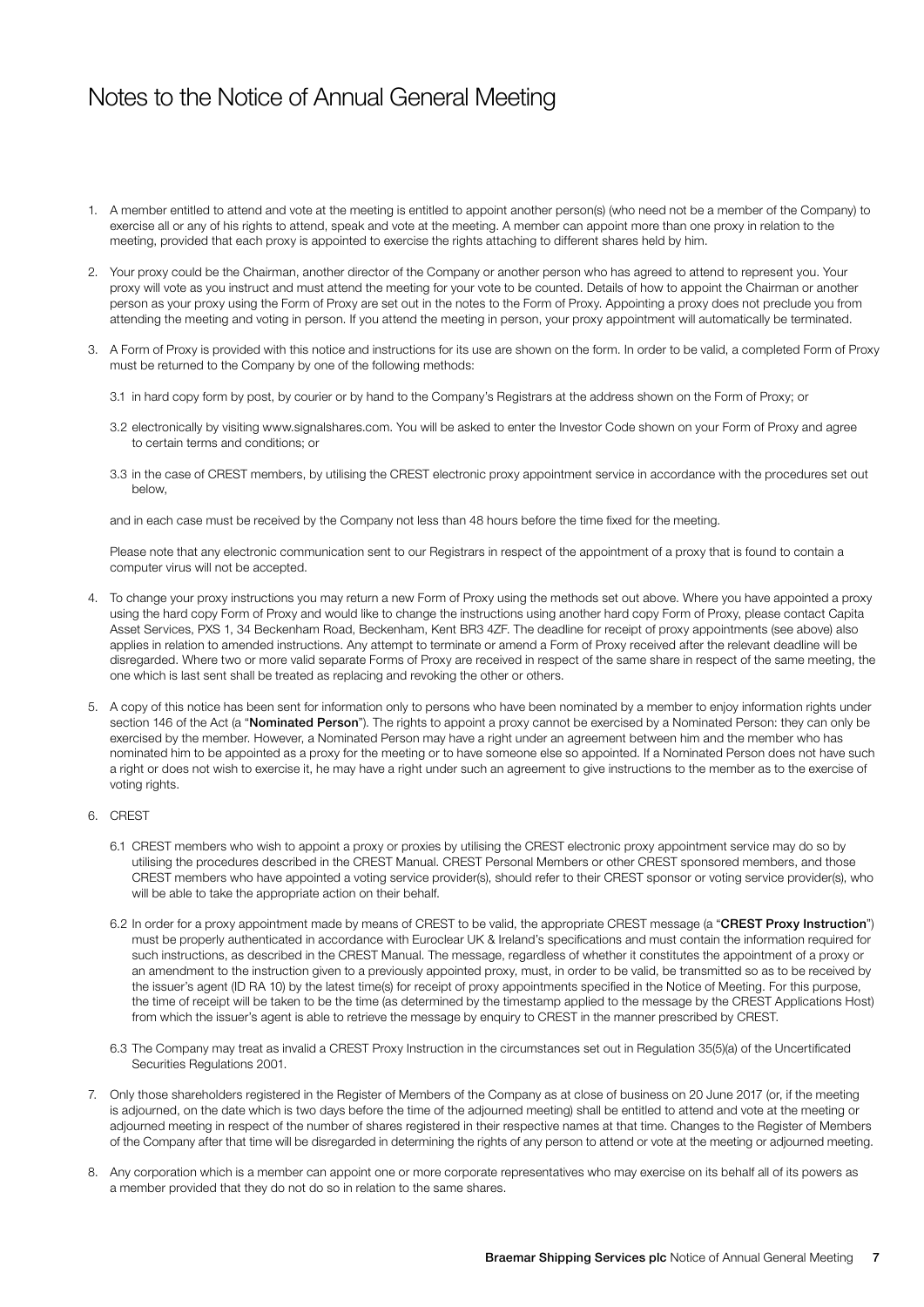# Notes to the Notice of Annual General Meeting

- 1. A member entitled to attend and vote at the meeting is entitled to appoint another person(s) (who need not be a member of the Company) to exercise all or any of his rights to attend, speak and vote at the meeting. A member can appoint more than one proxy in relation to the meeting, provided that each proxy is appointed to exercise the rights attaching to different shares held by him.
- 2. Your proxy could be the Chairman, another director of the Company or another person who has agreed to attend to represent you. Your proxy will vote as you instruct and must attend the meeting for your vote to be counted. Details of how to appoint the Chairman or another person as your proxy using the Form of Proxy are set out in the notes to the Form of Proxy. Appointing a proxy does not preclude you from attending the meeting and voting in person. If you attend the meeting in person, your proxy appointment will automatically be terminated.
- 3. A Form of Proxy is provided with this notice and instructions for its use are shown on the form. In order to be valid, a completed Form of Proxy must be returned to the Company by one of the following methods:
	- 3.1 in hard copy form by post, by courier or by hand to the Company's Registrars at the address shown on the Form of Proxy; or
	- 3.2 electronically by visiting www.signalshares.com. You will be asked to enter the Investor Code shown on your Form of Proxy and agree to certain terms and conditions; or
	- 3.3 in the case of CREST members, by utilising the CREST electronic proxy appointment service in accordance with the procedures set out below,

and in each case must be received by the Company not less than 48 hours before the time fixed for the meeting.

Please note that any electronic communication sent to our Registrars in respect of the appointment of a proxy that is found to contain a computer virus will not be accepted.

- 4. To change your proxy instructions you may return a new Form of Proxy using the methods set out above. Where you have appointed a proxy using the hard copy Form of Proxy and would like to change the instructions using another hard copy Form of Proxy, please contact Capita Asset Services, PXS 1, 34 Beckenham Road, Beckenham, Kent BR3 4ZF. The deadline for receipt of proxy appointments (see above) also applies in relation to amended instructions. Any attempt to terminate or amend a Form of Proxy received after the relevant deadline will be disregarded. Where two or more valid separate Forms of Proxy are received in respect of the same share in respect of the same meeting, the one which is last sent shall be treated as replacing and revoking the other or others.
- 5. A copy of this notice has been sent for information only to persons who have been nominated by a member to enjoy information rights under section 146 of the Act (a "Nominated Person"). The rights to appoint a proxy cannot be exercised by a Nominated Person: they can only be exercised by the member. However, a Nominated Person may have a right under an agreement between him and the member who has nominated him to be appointed as a proxy for the meeting or to have someone else so appointed. If a Nominated Person does not have such a right or does not wish to exercise it, he may have a right under such an agreement to give instructions to the member as to the exercise of voting rights.
- 6. CREST
	- 6.1 CREST members who wish to appoint a proxy or proxies by utilising the CREST electronic proxy appointment service may do so by utilising the procedures described in the CREST Manual. CREST Personal Members or other CREST sponsored members, and those CREST members who have appointed a voting service provider(s), should refer to their CREST sponsor or voting service provider(s), who will be able to take the appropriate action on their behalf.
	- 6.2 In order for a proxy appointment made by means of CREST to be valid, the appropriate CREST message (a "CREST Proxy Instruction") must be properly authenticated in accordance with Euroclear UK & Ireland's specifications and must contain the information required for such instructions, as described in the CREST Manual. The message, regardless of whether it constitutes the appointment of a proxy or an amendment to the instruction given to a previously appointed proxy, must, in order to be valid, be transmitted so as to be received by the issuer's agent (ID RA 10) by the latest time(s) for receipt of proxy appointments specified in the Notice of Meeting. For this purpose, the time of receipt will be taken to be the time (as determined by the timestamp applied to the message by the CREST Applications Host) from which the issuer's agent is able to retrieve the message by enquiry to CREST in the manner prescribed by CREST.
	- 6.3 The Company may treat as invalid a CREST Proxy Instruction in the circumstances set out in Regulation 35(5)(a) of the Uncertificated Securities Regulations 2001.
- 7. Only those shareholders registered in the Register of Members of the Company as at close of business on 20 June 2017 (or, if the meeting is adjourned, on the date which is two days before the time of the adjourned meeting) shall be entitled to attend and vote at the meeting or adjourned meeting in respect of the number of shares registered in their respective names at that time. Changes to the Register of Members of the Company after that time will be disregarded in determining the rights of any person to attend or vote at the meeting or adjourned meeting.
- 8. Any corporation which is a member can appoint one or more corporate representatives who may exercise on its behalf all of its powers as a member provided that they do not do so in relation to the same shares.